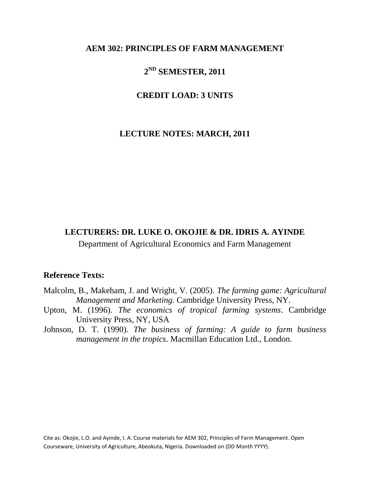# **AEM 302: PRINCIPLES OF FARM MANAGEMENT**

# **2 ND SEMESTER, 2011**

# **CREDIT LOAD: 3 UNITS**

# **LECTURE NOTES: MARCH, 2011**

# **LECTURERS: DR. LUKE O. OKOJIE & DR. IDRIS A. AYINDE**

Department of Agricultural Economics and Farm Management

# **Reference Texts:**

- Malcolm, B., Makeham, J. and Wright, V. (2005). *The farming game: Agricultural Management and Marketing.* Cambridge University Press, NY.
- Upton, M. (1996). *The economics of tropical farming systems*. Cambridge University Press, NY, USA
- Johnson, D. T. (1990). *The business of farming: A guide to farm business management in the tropics*. Macmillan Education Ltd., London.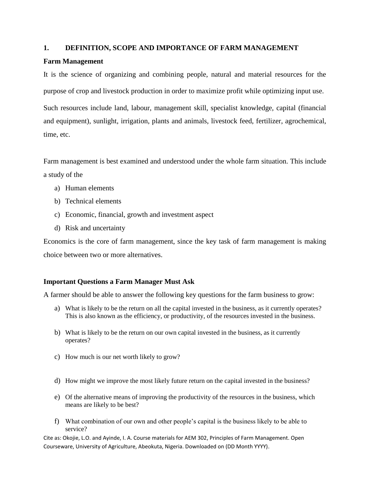### **1. DEFINITION, SCOPE AND IMPORTANCE OF FARM MANAGEMENT**

### **Farm Management**

It is the science of organizing and combining people, natural and material resources for the purpose of crop and livestock production in order to maximize profit while optimizing input use.

Such resources include land, labour, management skill, specialist knowledge, capital (financial and equipment), sunlight, irrigation, plants and animals, livestock feed, fertilizer, agrochemical, time, etc.

Farm management is best examined and understood under the whole farm situation. This include a study of the

- a) Human elements
- b) Technical elements
- c) Economic, financial, growth and investment aspect
- d) Risk and uncertainty

Economics is the core of farm management, since the key task of farm management is making choice between two or more alternatives.

# **Important Questions a Farm Manager Must Ask**

A farmer should be able to answer the following key questions for the farm business to grow:

- a) What is likely to be the return on all the capital invested in the business, as it currently operates? This is also known as the efficiency, or productivity, of the resources invested in the business.
- b) What is likely to be the return on our own capital invested in the business, as it currently operates?
- c) How much is our net worth likely to grow?
- d) How might we improve the most likely future return on the capital invested in the business?
- e) Of the alternative means of improving the productivity of the resources in the business, which means are likely to be best?
- f) What combination of our own and other people's capital is the business likely to be able to service?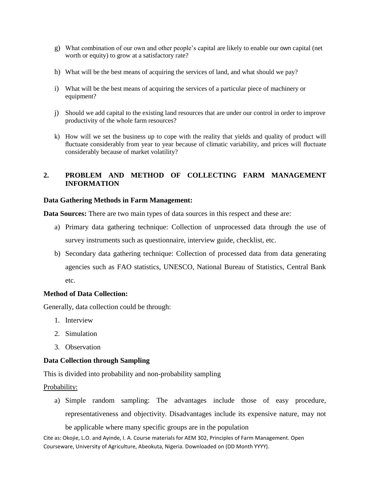- g) What combination of our own and other people's capital are likely to enable our own capital (net worth or equity) to grow at a satisfactory rate?
- h) What will be the best means of acquiring the services of land, and what should we pay?
- i) What will be the best means of acquiring the services of a particular piece of machinery or equipment?
- j) Should we add capital to the existing land resources that are under our control in order to improve productivity of the whole farm resources?
- k) How will we set the business up to cope with the reality that yields and quality of product will fluctuate considerably from year to year because of climatic variability, and prices will fluctuate considerably because of market volatility?

# **2. PROBLEM AND METHOD OF COLLECTING FARM MANAGEMENT INFORMATION**

### **Data Gathering Methods in Farm Management:**

**Data Sources:** There are two main types of data sources in this respect and these are:

- a) Primary data gathering technique: Collection of unprocessed data through the use of survey instruments such as questionnaire, interview guide, checklist, etc.
- b) Secondary data gathering technique: Collection of processed data from data generating agencies such as FAO statistics, UNESCO, National Bureau of Statistics, Central Bank etc.

### **Method of Data Collection:**

Generally, data collection could be through:

- 1. Interview
- 2. Simulation
- 3. Observation

### **Data Collection through Sampling**

This is divided into probability and non-probability sampling

Probability:

a) Simple random sampling: The advantages include those of easy procedure, representativeness and objectivity. Disadvantages include its expensive nature, may not be applicable where many specific groups are in the population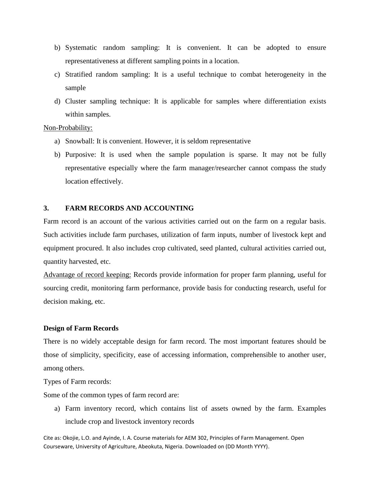- b) Systematic random sampling: It is convenient. It can be adopted to ensure representativeness at different sampling points in a location.
- c) Stratified random sampling: It is a useful technique to combat heterogeneity in the sample
- d) Cluster sampling technique: It is applicable for samples where differentiation exists within samples.

### Non-Probability:

- a) Snowball: It is convenient. However, it is seldom representative
- b) Purposive: It is used when the sample population is sparse. It may not be fully representative especially where the farm manager/researcher cannot compass the study location effectively.

### **3. FARM RECORDS AND ACCOUNTING**

Farm record is an account of the various activities carried out on the farm on a regular basis. Such activities include farm purchases, utilization of farm inputs, number of livestock kept and equipment procured. It also includes crop cultivated, seed planted, cultural activities carried out, quantity harvested, etc.

Advantage of record keeping: Records provide information for proper farm planning, useful for sourcing credit, monitoring farm performance, provide basis for conducting research, useful for decision making, etc.

### **Design of Farm Records**

There is no widely acceptable design for farm record. The most important features should be those of simplicity, specificity, ease of accessing information, comprehensible to another user, among others.

Types of Farm records:

Some of the common types of farm record are:

a) Farm inventory record, which contains list of assets owned by the farm. Examples include crop and livestock inventory records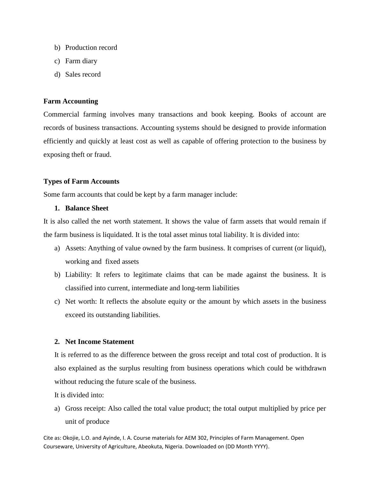- b) Production record
- c) Farm diary
- d) Sales record

### **Farm Accounting**

Commercial farming involves many transactions and book keeping. Books of account are records of business transactions. Accounting systems should be designed to provide information efficiently and quickly at least cost as well as capable of offering protection to the business by exposing theft or fraud.

### **Types of Farm Accounts**

Some farm accounts that could be kept by a farm manager include:

### **1. Balance Sheet**

It is also called the net worth statement. It shows the value of farm assets that would remain if the farm business is liquidated. It is the total asset minus total liability. It is divided into:

- a) Assets: Anything of value owned by the farm business. It comprises of current (or liquid), working and fixed assets
- b) Liability: It refers to legitimate claims that can be made against the business. It is classified into current, intermediate and long-term liabilities
- c) Net worth: It reflects the absolute equity or the amount by which assets in the business exceed its outstanding liabilities.

### **2. Net Income Statement**

It is referred to as the difference between the gross receipt and total cost of production. It is also explained as the surplus resulting from business operations which could be withdrawn without reducing the future scale of the business.

It is divided into:

a) Gross receipt: Also called the total value product; the total output multiplied by price per unit of produce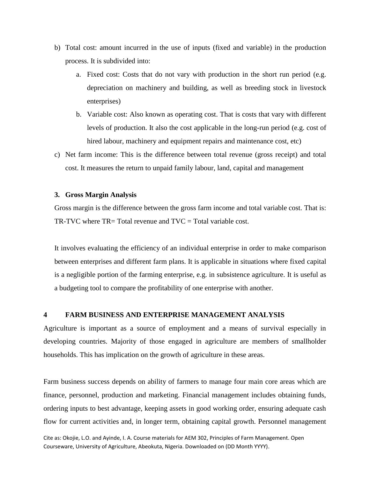- b) Total cost: amount incurred in the use of inputs (fixed and variable) in the production process. It is subdivided into:
	- a. Fixed cost: Costs that do not vary with production in the short run period (e.g. depreciation on machinery and building, as well as breeding stock in livestock enterprises)
	- b. Variable cost: Also known as operating cost. That is costs that vary with different levels of production. It also the cost applicable in the long-run period (e.g. cost of hired labour, machinery and equipment repairs and maintenance cost, etc)
- c) Net farm income: This is the difference between total revenue (gross receipt) and total cost. It measures the return to unpaid family labour, land, capital and management

#### **3. Gross Margin Analysis**

Gross margin is the difference between the gross farm income and total variable cost. That is: TR-TVC where  $TR = Total$  revenue and  $TVC = Total$  variable cost.

It involves evaluating the efficiency of an individual enterprise in order to make comparison between enterprises and different farm plans. It is applicable in situations where fixed capital is a negligible portion of the farming enterprise, e.g. in subsistence agriculture. It is useful as a budgeting tool to compare the profitability of one enterprise with another.

#### **4 FARM BUSINESS AND ENTERPRISE MANAGEMENT ANALYSIS**

Agriculture is important as a source of employment and a means of survival especially in developing countries. Majority of those engaged in agriculture are members of smallholder households. This has implication on the growth of agriculture in these areas.

Farm business success depends on ability of farmers to manage four main core areas which are finance, personnel, production and marketing. Financial management includes obtaining funds, ordering inputs to best advantage, keeping assets in good working order, ensuring adequate cash flow for current activities and, in longer term, obtaining capital growth. Personnel management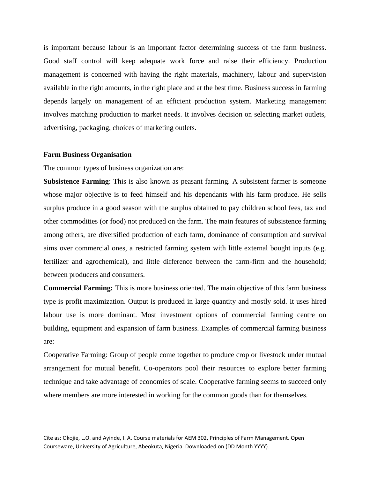is important because labour is an important factor determining success of the farm business. Good staff control will keep adequate work force and raise their efficiency. Production management is concerned with having the right materials, machinery, labour and supervision available in the right amounts, in the right place and at the best time. Business success in farming depends largely on management of an efficient production system. Marketing management involves matching production to market needs. It involves decision on selecting market outlets, advertising, packaging, choices of marketing outlets.

#### **Farm Business Organisation**

The common types of business organization are:

**Subsistence Farming**: This is also known as peasant farming. A subsistent farmer is someone whose major objective is to feed himself and his dependants with his farm produce. He sells surplus produce in a good season with the surplus obtained to pay children school fees, tax and other commodities (or food) not produced on the farm. The main features of subsistence farming among others, are diversified production of each farm, dominance of consumption and survival aims over commercial ones, a restricted farming system with little external bought inputs (e.g. fertilizer and agrochemical), and little difference between the farm-firm and the household; between producers and consumers.

**Commercial Farming:** This is more business oriented. The main objective of this farm business type is profit maximization. Output is produced in large quantity and mostly sold. It uses hired labour use is more dominant. Most investment options of commercial farming centre on building, equipment and expansion of farm business. Examples of commercial farming business are:

Cooperative Farming: Group of people come together to produce crop or livestock under mutual arrangement for mutual benefit. Co-operators pool their resources to explore better farming technique and take advantage of economies of scale. Cooperative farming seems to succeed only where members are more interested in working for the common goods than for themselves.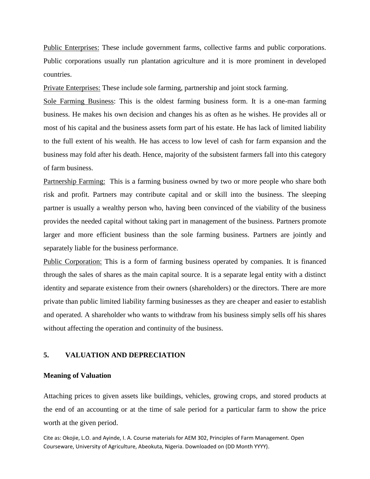Public Enterprises: These include government farms, collective farms and public corporations. Public corporations usually run plantation agriculture and it is more prominent in developed countries.

Private Enterprises: These include sole farming, partnership and joint stock farming.

Sole Farming Business: This is the oldest farming business form. It is a one-man farming business. He makes his own decision and changes his as often as he wishes. He provides all or most of his capital and the business assets form part of his estate. He has lack of limited liability to the full extent of his wealth. He has access to low level of cash for farm expansion and the business may fold after his death. Hence, majority of the subsistent farmers fall into this category of farm business.

Partnership Farming: This is a farming business owned by two or more people who share both risk and profit. Partners may contribute capital and or skill into the business. The sleeping partner is usually a wealthy person who, having been convinced of the viability of the business provides the needed capital without taking part in management of the business. Partners promote larger and more efficient business than the sole farming business. Partners are jointly and separately liable for the business performance.

Public Corporation: This is a form of farming business operated by companies. It is financed through the sales of shares as the main capital source. It is a separate legal entity with a distinct identity and separate existence from their owners (shareholders) or the directors. There are more private than public limited liability farming businesses as they are cheaper and easier to establish and operated. A shareholder who wants to withdraw from his business simply sells off his shares without affecting the operation and continuity of the business.

#### **5. VALUATION AND DEPRECIATION**

#### **Meaning of Valuation**

Attaching prices to given assets like buildings, vehicles, growing crops, and stored products at the end of an accounting or at the time of sale period for a particular farm to show the price worth at the given period.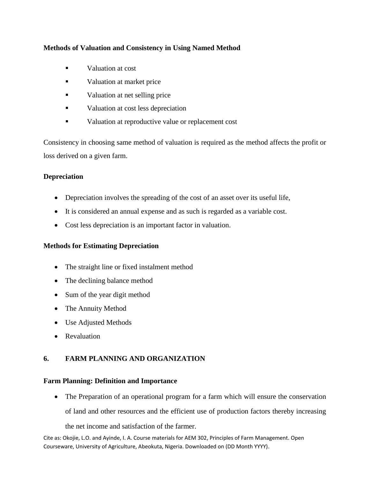# **Methods of Valuation and Consistency in Using Named Method**

- **valuation at cost**
- valuation at market price
- valuation at net selling price
- valuation at cost less depreciation
- valuation at reproductive value or replacement cost

Consistency in choosing same method of valuation is required as the method affects the profit or loss derived on a given farm.

# **Depreciation**

- Depreciation involves the spreading of the cost of an asset over its useful life,
- It is considered an annual expense and as such is regarded as a variable cost.
- Cost less depreciation is an important factor in valuation.

# **Methods for Estimating Depreciation**

- The straight line or fixed instalment method
- The declining balance method
- Sum of the year digit method
- The Annuity Method
- Use Adjusted Methods
- Revaluation

# **6. FARM PLANNING AND ORGANIZATION**

# **Farm Planning: Definition and Importance**

• The Preparation of an operational program for a farm which will ensure the conservation of land and other resources and the efficient use of production factors thereby increasing

the net income and satisfaction of the farmer.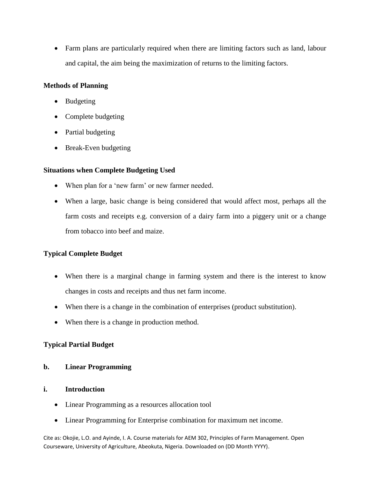Farm plans are particularly required when there are limiting factors such as land, labour and capital, the aim being the maximization of returns to the limiting factors.

### **Methods of Planning**

- Budgeting
- Complete budgeting
- Partial budgeting
- Break-Even budgeting

### **Situations when Complete Budgeting Used**

- When plan for a 'new farm' or new farmer needed.
- When a large, basic change is being considered that would affect most, perhaps all the farm costs and receipts e.g. conversion of a dairy farm into a piggery unit or a change from tobacco into beef and maize.

# **Typical Complete Budget**

- When there is a marginal change in farming system and there is the interest to know changes in costs and receipts and thus net farm income.
- When there is a change in the combination of enterprises (product substitution).
- When there is a change in production method.

# **Typical Partial Budget**

### **b. Linear Programming**

### **i. Introduction**

- Linear Programming as a resources allocation tool
- Linear Programming for Enterprise combination for maximum net income.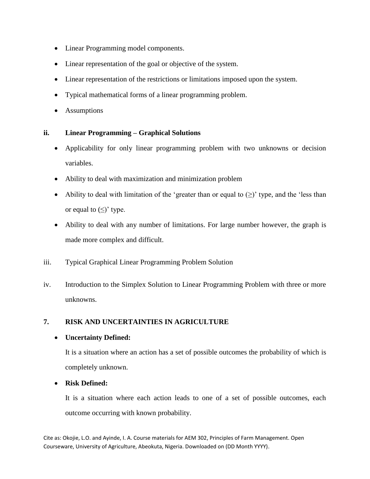- Linear Programming model components.
- Linear representation of the goal or objective of the system.
- Linear representation of the restrictions or limitations imposed upon the system.
- Typical mathematical forms of a linear programming problem.
- Assumptions

### **ii. Linear Programming – Graphical Solutions**

- Applicability for only linear programming problem with two unknowns or decision variables.
- Ability to deal with maximization and minimization problem
- Ability to deal with limitation of the 'greater than or equal to  $(\ge)$ ' type, and the 'less than or equal to  $(\le)$ ' type.
- Ability to deal with any number of limitations. For large number however, the graph is made more complex and difficult.
- iii. Typical Graphical Linear Programming Problem Solution
- iv. Introduction to the Simplex Solution to Linear Programming Problem with three or more unknowns.

# **7. RISK AND UNCERTAINTIES IN AGRICULTURE**

# **Uncertainty Defined:**

It is a situation where an action has a set of possible outcomes the probability of which is completely unknown.

# **Risk Defined:**

It is a situation where each action leads to one of a set of possible outcomes, each outcome occurring with known probability.